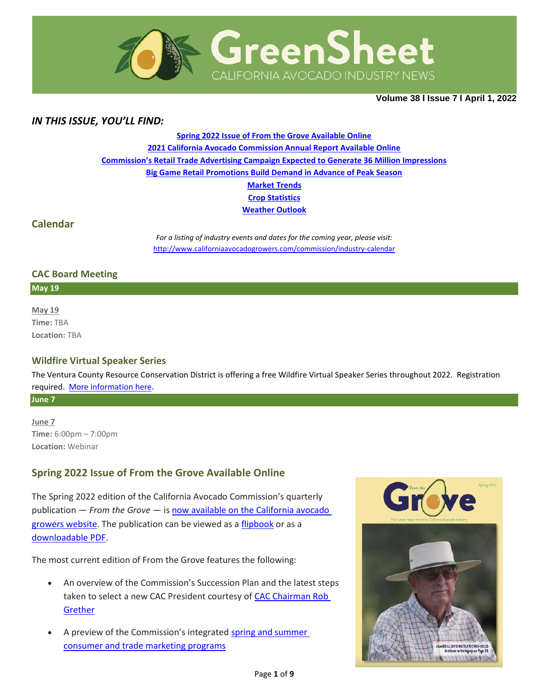

**Volume 38 Ι Issue 7 Ι April 1, 2022**

## *IN THIS ISSUE, YOU'LL FIND:*

**[Spring 2022 Issue of From the Grove Available Online](#page-0-0) [2021 California Avocado Commission Annual Report Available Online](#page-1-0) [Commission's Retail Trade Advertising Campaign Expected to Generate 36 Million Impressions](#page-2-0) [Big Game Retail Promotions Build Demand in Advance of Peak Season](#page-3-0) [Market](#page-5-0) Trends Crop [Statistics](#page-6-0) [Weather Outlook](#page-7-0)**

### **Calendar**

*For a listing of industry events and dates for the coming year, please visit:*  <http://www.californiaavocadogrowers.com/commission/industry-calendar>

### **CAC Board Meeting**

**May 19**

**May 19 Time:** TBA **Location:** TBA

### **Wildfire Virtual Speaker Series**

The Ventura County Resource Conservation District is offering a free Wildfire Virtual Speaker Series throughout 2022. Registration required. [More information](https://www.californiaavocadogrowers.com/event/wildfire-virtual-speaker-series) here.

**June 7**

**June 7 Time:** 6:00pm – 7:00pm **Location:** Webinar

# <span id="page-0-0"></span>**Spring 2022 Issue of From the Grove Available Online**

The Spring 2022 edition of the California Avocado Commission's quarterly publication — *From the Grove* — i[s now available on the California avocado](https://www.californiaavocadogrowers.com/publications/from-the-grove)  [growers website.](https://www.californiaavocadogrowers.com/publications/from-the-grove) The publication can be viewed as a [flipbook](https://www.californiaavocadogrowers.com/publications/from-the-grove) or as a [downloadable PDF.](https://www.californiaavocadogrowers.com/sites/default/files/2022-Spring-FTG-FINAL.pdf)

The most current edition of From the Grove features the following:

- An overview of the Commission's Succession Plan and the latest steps taken to select a new CAC President courtesy of [CAC Chairman Rob](https://www.californiaavocadogrowers.com/sites/default/files/documents/1-Chairs-Report-Spring-2022.pdf)  [Grether](https://www.californiaavocadogrowers.com/sites/default/files/documents/1-Chairs-Report-Spring-2022.pdf)
- A preview of the Commission's integrated spring and summer [consumer and trade marketing programs](https://www.californiaavocadogrowers.com/sites/default/files/documents/2-A-Preview-of-Spring-and-Summer-Marketing-Spring-2022.pdf)

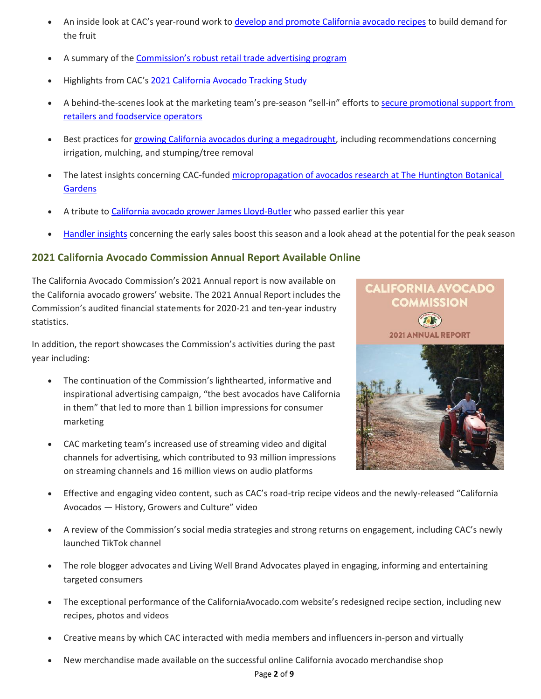- An inside look at CAC's year-round work t[o develop and promote California avocado recipes](https://www.californiaavocadogrowers.com/sites/default/files/documents/4-Cooking-Up-New-Recipe-Support-Spring-2022.pdf) to build demand for the fruit
- A summary of the [Commission's robust retail trade advertising prog](https://www.californiaavocadogrowers.com/sites/default/files/documents/6-2022-Trade-Advertising-Spring-2022.pdf)ram
- Highlights from CAC's [2021 California Avocado Tracking Study](https://www.californiaavocadogrowers.com/sites/default/files/documents/8-2021-California-Avocado-Tracking-Study-Highlights-Spring-2022.pdf)
- A behind-the-scenes look at the marketing team's pre-season "sell-in" efforts to [secure promotional support from](https://www.californiaavocadogrowers.com/sites/default/files/documents/9-The-Sell-In-Spring-2022.pdf)  [retailers and foodservice operators](https://www.californiaavocadogrowers.com/sites/default/files/documents/9-The-Sell-In-Spring-2022.pdf)
- Best practices for [growing California avocados during a megadrought,](https://www.californiaavocadogrowers.com/sites/default/files/documents/3-Growing-Avocados-in-a-Megadrought-Spring-2022.pdf) including recommendations concerning irrigation, mulching, and stumping/tree removal
- The latest insights concerning CAC-funded [micropropagation of avocados research at The Huntington Botanical](https://www.californiaavocadogrowers.com/sites/default/files/documents/7-Micropropagation-of-Avocado-in-California-Spring-2022.pdf)  **[Gardens](https://www.californiaavocadogrowers.com/sites/default/files/documents/7-Micropropagation-of-Avocado-in-California-Spring-2022.pdf)**
- A tribute to [California avocado grower James Lloyd-Butler](https://www.californiaavocadogrowers.com/sites/default/files/documents/5-A-Gentleman-Farmer-Passes-On-Spring-2022.pdf) who passed earlier this year
- [Handler insights](https://www.californiaavocadogrowers.com/sites/default/files/documents/10-Early-Sales-Boost-California-Deal-Spring-2022.pdf) concerning the early sales boost this season and a look ahead at the potential for the peak season

# <span id="page-1-0"></span>**2021 California Avocado Commission Annual Report Available Online**

The California Avocado Commission's 2021 Annual report is now available on the California avocado growers' website. The 2021 Annual Report includes the Commission's audited financial statements for 2020-21 and ten-year industry statistics.

In addition, the report showcases the Commission's activities during the past year including:

- The continuation of the Commission's lighthearted, informative and inspirational advertising campaign, "the best avocados have California in them" that led to more than 1 billion impressions for consumer marketing
- CAC marketing team's increased use of streaming video and digital channels for advertising, which contributed to 93 million impressions on streaming channels and 16 million views on audio platforms



- Effective and engaging video content, such as CAC's road-trip recipe videos and the newly-released "California Avocados — History, Growers and Culture" video
- A review of the Commission's social media strategies and strong returns on engagement, including CAC's newly launched TikTok channel
- The role blogger advocates and Living Well Brand Advocates played in engaging, informing and entertaining targeted consumers
- The exceptional performance of the CaliforniaAvocado.com website's redesigned recipe section, including new recipes, photos and videos
- Creative means by which CAC interacted with media members and influencers in-person and virtually
- New merchandise made available on the successful online California avocado merchandise shop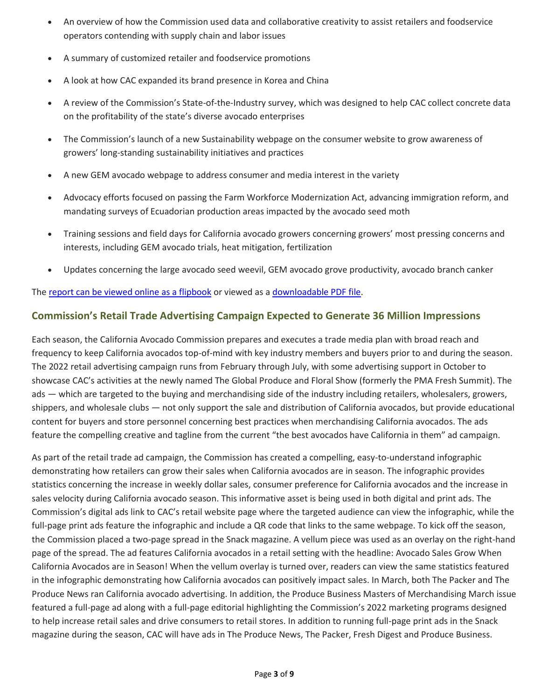- An overview of how the Commission used data and collaborative creativity to assist retailers and foodservice operators contending with supply chain and labor issues
- A summary of customized retailer and foodservice promotions
- A look at how CAC expanded its brand presence in Korea and China
- A review of the Commission's State-of-the-Industry survey, which was designed to help CAC collect concrete data on the profitability of the state's diverse avocado enterprises
- The Commission's launch of a new Sustainability webpage on the consumer website to grow awareness of growers' long-standing sustainability initiatives and practices
- A new GEM avocado webpage to address consumer and media interest in the variety
- Advocacy efforts focused on passing the Farm Workforce Modernization Act, advancing immigration reform, and mandating surveys of Ecuadorian production areas impacted by the avocado seed moth
- Training sessions and field days for California avocado growers concerning growers' most pressing concerns and interests, including GEM avocado trials, heat mitigation, fertilization
- Updates concerning the large avocado seed weevil, GEM avocado grove productivity, avocado branch canker

The [report can be viewed online as a flipbook](https://www.californiaavocadogrowers.com/commission/accountability-reports/annual-report-audited-financials) or viewed as a [downloadable PDF file.](https://www.californiaavocadogrowers.com/sites/default/files/2021-CAC-Annual-Report-FINAL.pdf)

## <span id="page-2-0"></span>**Commission's Retail Trade Advertising Campaign Expected to Generate 36 Million Impressions**

Each season, the California Avocado Commission prepares and executes a trade media plan with broad reach and frequency to keep California avocados top-of-mind with key industry members and buyers prior to and during the season. The 2022 retail advertising campaign runs from February through July, with some advertising support in October to showcase CAC's activities at the newly named The Global Produce and Floral Show (formerly the PMA Fresh Summit). The ads — which are targeted to the buying and merchandising side of the industry including retailers, wholesalers, growers, shippers, and wholesale clubs — not only support the sale and distribution of California avocados, but provide educational content for buyers and store personnel concerning best practices when merchandising California avocados. The ads feature the compelling creative and tagline from the current "the best avocados have California in them" ad campaign.

As part of the retail trade ad campaign, the Commission has created a compelling, easy-to-understand infographic demonstrating how retailers can grow their sales when California avocados are in season. The infographic provides statistics concerning the increase in weekly dollar sales, consumer preference for California avocados and the increase in sales velocity during California avocado season. This informative asset is being used in both digital and print ads. The Commission's digital ads link to CAC's retail website page where the targeted audience can view the infographic, while the full-page print ads feature the infographic and include a QR code that links to the same webpage. To kick off the season, the Commission placed a two-page spread in the Snack magazine. A vellum piece was used as an overlay on the right-hand page of the spread. The ad features California avocados in a retail setting with the headline: Avocado Sales Grow When California Avocados are in Season! When the vellum overlay is turned over, readers can view the same statistics featured in the infographic demonstrating how California avocados can positively impact sales. In March, both The Packer and The Produce News ran California avocado advertising. In addition, the Produce Business Masters of Merchandising March issue featured a full-page ad along with a full-page editorial highlighting the Commission's 2022 marketing programs designed to help increase retail sales and drive consumers to retail stores. In addition to running full-page print ads in the Snack magazine during the season, CAC will have ads in The Produce News, The Packer, Fresh Digest and Produce Business.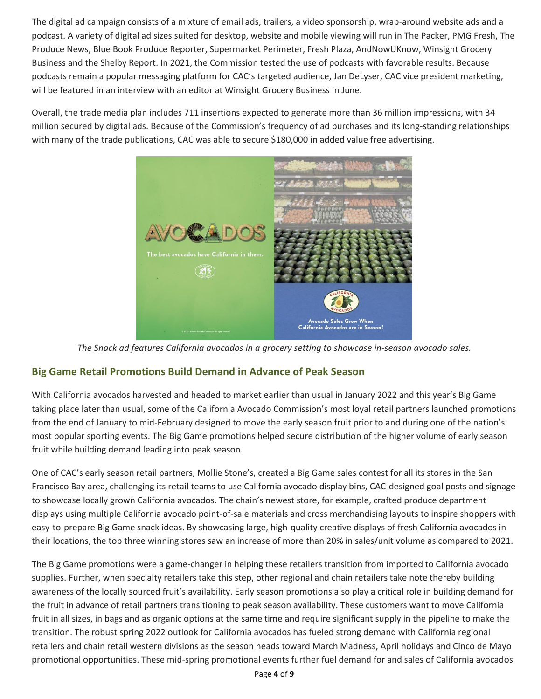The digital ad campaign consists of a mixture of email ads, trailers, a video sponsorship, wrap-around website ads and a podcast. A variety of digital ad sizes suited for desktop, website and mobile viewing will run in The Packer, PMG Fresh, The Produce News, Blue Book Produce Reporter, Supermarket Perimeter, Fresh Plaza, AndNowUKnow, Winsight Grocery Business and the Shelby Report. In 2021, the Commission tested the use of podcasts with favorable results. Because podcasts remain a popular messaging platform for CAC's targeted audience, Jan DeLyser, CAC vice president marketing, will be featured in an interview with an editor at Winsight Grocery Business in June.

Overall, the trade media plan includes 711 insertions expected to generate more than 36 million impressions, with 34 million secured by digital ads. Because of the Commission's frequency of ad purchases and its long-standing relationships with many of the trade publications, CAC was able to secure \$180,000 in added value free advertising.



*The Snack ad features California avocados in a grocery setting to showcase in-season avocado sales.*

# <span id="page-3-0"></span>**Big Game Retail Promotions Build Demand in Advance of Peak Season**

With California avocados harvested and headed to market earlier than usual in January 2022 and this year's Big Game taking place later than usual, some of the California Avocado Commission's most loyal retail partners launched promotions from the end of January to mid-February designed to move the early season fruit prior to and during one of the nation's most popular sporting events. The Big Game promotions helped secure distribution of the higher volume of early season fruit while building demand leading into peak season.

One of CAC's early season retail partners, Mollie Stone's, created a Big Game sales contest for all its stores in the San Francisco Bay area, challenging its retail teams to use California avocado display bins, CAC-designed goal posts and signage to showcase locally grown California avocados. The chain's newest store, for example, crafted produce department displays using multiple California avocado point-of-sale materials and cross merchandising layouts to inspire shoppers with easy-to-prepare Big Game snack ideas. By showcasing large, high-quality creative displays of fresh California avocados in their locations, the top three winning stores saw an increase of more than 20% in sales/unit volume as compared to 2021.

The Big Game promotions were a game-changer in helping these retailers transition from imported to California avocado supplies. Further, when specialty retailers take this step, other regional and chain retailers take note thereby building awareness of the locally sourced fruit's availability. Early season promotions also play a critical role in building demand for the fruit in advance of retail partners transitioning to peak season availability. These customers want to move California fruit in all sizes, in bags and as organic options at the same time and require significant supply in the pipeline to make the transition. The robust spring 2022 outlook for California avocados has fueled strong demand with California regional retailers and chain retail western divisions as the season heads toward March Madness, April holidays and Cinco de Mayo promotional opportunities. These mid-spring promotional events further fuel demand for and sales of California avocados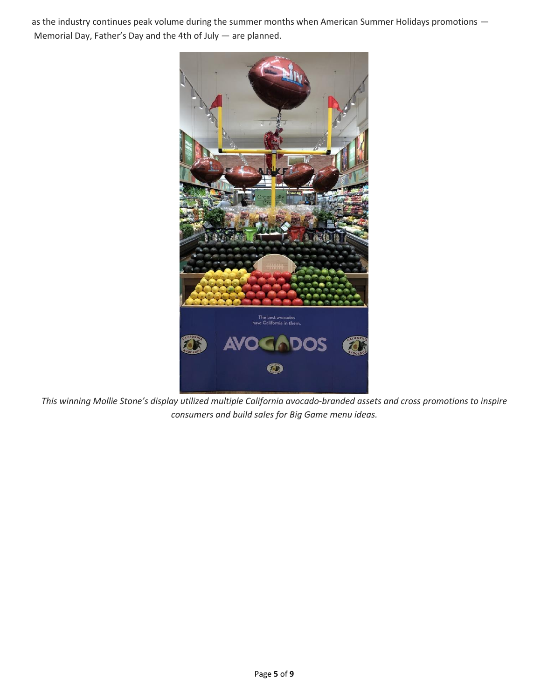as the industry continues peak volume during the summer months when American Summer Holidays promotions — Memorial Day, Father's Day and the 4th of July — are planned.



*This winning Mollie Stone's display utilized multiple California avocado-branded assets and cross promotions to inspire consumers and build sales for Big Game menu ideas.*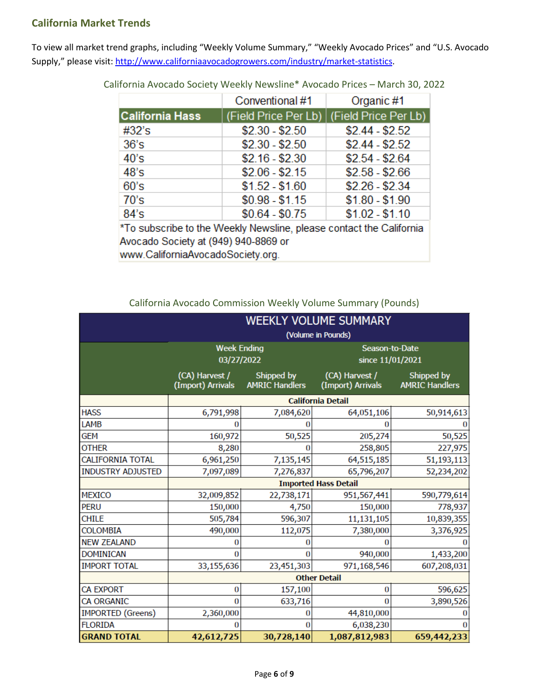## <span id="page-5-0"></span>**California Market Trends**

To view all market trend graphs, including "Weekly Volume Summary," "Weekly Avocado Prices" and "U.S. Avocado Supply," please visit[: http://www.californiaavocadogrowers.com/industry/market-statistics.](http://www.californiaavocadogrowers.com/industry/market-statistics)

|                                                                                                             | Conventional #1 | Organic #1                                           |  |  |  |
|-------------------------------------------------------------------------------------------------------------|-----------------|------------------------------------------------------|--|--|--|
| <b>California Hass</b>                                                                                      |                 | (Field Price Per Lb) $\sqrt{F}$ (Field Price Per Lb) |  |  |  |
| #32's                                                                                                       | $$2.30 - $2.50$ | $$2.44 - $2.52$                                      |  |  |  |
| 36's                                                                                                        | $$2.30 - $2.50$ | $$2.44 - $2.52$                                      |  |  |  |
| 40's                                                                                                        | $$2.16 - $2.30$ | $$2.54 - $2.64$                                      |  |  |  |
| 48's                                                                                                        | $$2.06 - $2.15$ | $$2.58 - $2.66$                                      |  |  |  |
| 60's                                                                                                        | $$1.52 - $1.60$ | $$2.26 - $2.34$                                      |  |  |  |
| 70's                                                                                                        | $$0.98 - $1.15$ | $$1.80 - $1.90$                                      |  |  |  |
| 84's                                                                                                        | $$0.64 - $0.75$ | $$1.02 - $1.10$                                      |  |  |  |
| *To subscribe to the Weekly Newsline, please contact the California<br>Avocado Society at (949) 940-8869 or |                 |                                                      |  |  |  |

California Avocado Society Weekly Newsline\* Avocado Prices – March 30, 2022

www.CaliforniaAvocadoSociety.org.

California Avocado Commission Weekly Volume Summary (Pounds)

|                          | <b>WEEKLY VOLUME SUMMARY</b>        |                                     |                                     |                                     |  |  |
|--------------------------|-------------------------------------|-------------------------------------|-------------------------------------|-------------------------------------|--|--|
|                          | (Volume in Pounds)                  |                                     |                                     |                                     |  |  |
|                          | <b>Week Ending</b><br>03/27/2022    |                                     | Season-to-Date<br>since 11/01/2021  |                                     |  |  |
|                          | (CA) Harvest /<br>(Import) Arrivals | Shipped by<br><b>AMRIC Handlers</b> | (CA) Harvest /<br>(Import) Arrivals | Shipped by<br><b>AMRIC Handlers</b> |  |  |
|                          | <b>California Detail</b>            |                                     |                                     |                                     |  |  |
| <b>HASS</b>              | 6,791,998                           | 7,084,620                           | 64,051,106                          | 50,914,613                          |  |  |
| LAMB                     | n                                   |                                     |                                     |                                     |  |  |
| GEM                      | 160,972                             | 50,525                              | 205,274                             | 50,525                              |  |  |
| <b>OTHER</b>             | 8,280                               |                                     | 258,805                             | 227,975                             |  |  |
| <b>CALIFORNIA TOTAL</b>  | 6,961,250                           | 7,135,145                           | 64,515,185                          | 51,193,113                          |  |  |
| <b>INDUSTRY ADJUSTED</b> | 7,097,089                           | 7,276,837                           | 65,796,207                          | 52,234,202                          |  |  |
|                          | <b>Imported Hass Detail</b>         |                                     |                                     |                                     |  |  |
| <b>MEXICO</b>            | 32,009,852                          | 22,738,171                          | 951,567,441                         | 590,779,614                         |  |  |
| <b>PERU</b>              | 150,000                             | 4,750                               | 150,000                             | 778,937                             |  |  |
| <b>CHILE</b>             | 505,784                             | 596,307                             | 11,131,105                          | 10,839,355                          |  |  |
| <b>COLOMBIA</b>          | 490,000                             | 112,075                             | 7,380,000                           | 3,376,925                           |  |  |
| <b>NEW ZEALAND</b>       | 0                                   |                                     | O                                   |                                     |  |  |
| <b>DOMINICAN</b>         | o                                   |                                     | 940,000                             | 1,433,200                           |  |  |
| <b>IMPORT TOTAL</b>      | 33,155,636                          | 23,451,303                          | 971,168,546                         | 607,208,031                         |  |  |
|                          | <b>Other Detail</b>                 |                                     |                                     |                                     |  |  |
| <b>CA EXPORT</b>         | 0                                   | 157,100                             | 0                                   | 596,625                             |  |  |
| <b>CA ORGANIC</b>        | 0                                   | 633,716                             | 0                                   | 3,890,526                           |  |  |
| <b>IMPORTED (Greens)</b> | 2,360,000                           |                                     | 44,810,000                          |                                     |  |  |
| <b>FLORIDA</b>           |                                     |                                     | 6,038,230                           |                                     |  |  |
| <b>GRAND TOTAL</b>       | 42,612,725                          | 30,728,140                          | 1,087,812,983                       | 659,442,233                         |  |  |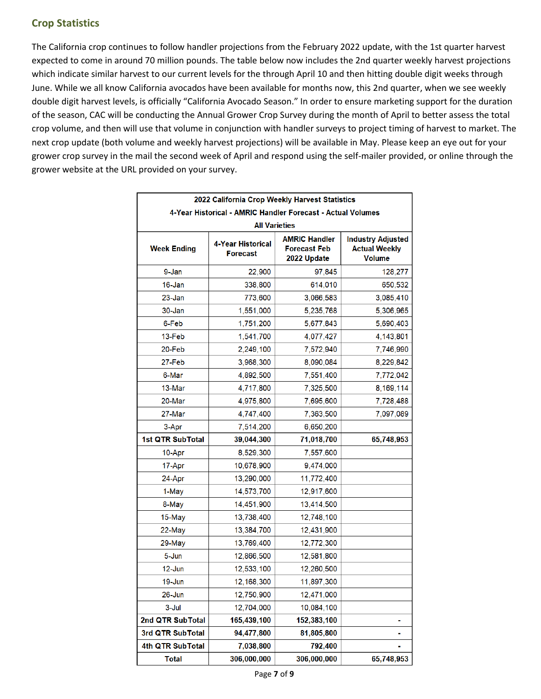# <span id="page-6-0"></span>**Crop Statistics**

The California crop continues to follow handler projections from the February 2022 update, with the 1st quarter harvest expected to come in around 70 million pounds. The table below now includes the 2nd quarter weekly harvest projections which indicate similar harvest to our current levels for the through April 10 and then hitting double digit weeks through June. While we all know California avocados have been available for months now, this 2nd quarter, when we see weekly double digit harvest levels, is officially "California Avocado Season." In order to ensure marketing support for the duration of the season, CAC will be conducting the Annual Grower Crop Survey during the month of April to better assess the total crop volume, and then will use that volume in conjunction with handler surveys to project timing of harvest to market. The next crop update (both volume and weekly harvest projections) will be available in May. Please keep an eye out for your grower crop survey in the mail the second week of April and respond using the self-mailer provided, or online through the grower website at the URL provided on your survey.

|                                                             | 2022 California Crop Weekly Harvest Statistics |                                                            |                                                            |  |  |  |
|-------------------------------------------------------------|------------------------------------------------|------------------------------------------------------------|------------------------------------------------------------|--|--|--|
| 4-Year Historical - AMRIC Handler Forecast - Actual Volumes |                                                |                                                            |                                                            |  |  |  |
| <b>All Varieties</b>                                        |                                                |                                                            |                                                            |  |  |  |
| <b>Week Ending</b>                                          | <b>4-Year Historical</b><br><b>Forecast</b>    | <b>AMRIC Handler</b><br><b>Forecast Feb</b><br>2022 Update | <b>Industry Adjusted</b><br><b>Actual Weekly</b><br>Volume |  |  |  |
| 9-Jan                                                       | 22,900                                         | 97,845                                                     | 128,277                                                    |  |  |  |
| 16-Jan                                                      | 338,800                                        | 614,010                                                    | 650,532                                                    |  |  |  |
| $23 - Jan$                                                  | 773,600                                        | 3,066,583                                                  | 3,085,410                                                  |  |  |  |
| 30-Jan                                                      | 1,551,000                                      | 5,235,768                                                  | 5,306,965                                                  |  |  |  |
| 6-Feb                                                       | 1,751,200                                      | 5,677,843                                                  | 5,690,403                                                  |  |  |  |
| 13-Feb                                                      | 1,541,700                                      | 4,077,427                                                  | 4,143,801                                                  |  |  |  |
| 20-Feb                                                      | 2,249,100                                      | 7,572,940                                                  | 7,746,990                                                  |  |  |  |
| 27-Feb                                                      | 3,968,300                                      | 8,090,084                                                  | 8,229,842                                                  |  |  |  |
| 6-Mar                                                       | 4,892,500                                      | 7,551,400                                                  | 7,772,042                                                  |  |  |  |
| 13-Mar                                                      | 4,717,800                                      | 7,325,500                                                  | 8,169,114                                                  |  |  |  |
| 20-Mar                                                      | 4,975,800                                      | 7,695,600                                                  | 7,728,488                                                  |  |  |  |
| 27-Mar                                                      | 4,747,400                                      | 7,363,500                                                  | 7,097,089                                                  |  |  |  |
| 3-Apr                                                       | 7,514,200                                      | 6,650,200                                                  |                                                            |  |  |  |
| 1st QTR SubTotal                                            | 39,044,300                                     | 71,018,700                                                 | 65,748,953                                                 |  |  |  |
| 10-Apr                                                      | 8,529,300                                      | 7,557,600                                                  |                                                            |  |  |  |
| 17-Apr                                                      | 10,678,900                                     | 9,474,000                                                  |                                                            |  |  |  |
| 24-Apr                                                      | 13,290,000                                     | 11,772,400                                                 |                                                            |  |  |  |
| 1-May                                                       | 14,573,700                                     | 12,917,600                                                 |                                                            |  |  |  |
| 8-May                                                       | 14,451,900                                     | 13,414,500                                                 |                                                            |  |  |  |
| 15-May                                                      | 13,738,400                                     | 12,748,100                                                 |                                                            |  |  |  |
| 22-May                                                      | 13,384,700                                     | 12,431,900                                                 |                                                            |  |  |  |
| 29-May                                                      | 13,769,400                                     | 12,772,300                                                 |                                                            |  |  |  |
| 5-Jun                                                       | 12,866,500                                     | 12,581,800                                                 |                                                            |  |  |  |
| 12-Jun                                                      | 12,533,100                                     | 12,260,500                                                 |                                                            |  |  |  |
| 19-Jun                                                      | 12,168,300                                     | 11,897,300                                                 |                                                            |  |  |  |
| $26 - Jun$                                                  | 12,750,900                                     | 12,471,000                                                 |                                                            |  |  |  |
| 3-Jul                                                       | 12,704,000                                     | 10,084,100                                                 |                                                            |  |  |  |
| 2nd QTR SubTotal                                            | 165,439,100                                    | 152,383,100                                                |                                                            |  |  |  |
| 3rd QTR SubTotal                                            | 94,477,800                                     | 81,805,800                                                 |                                                            |  |  |  |
| 4th QTR SubTotal                                            | 7,038,800                                      | 792,400                                                    |                                                            |  |  |  |
| <b>Total</b>                                                | 306,000,000                                    | 306,000,000                                                | 65,748,953                                                 |  |  |  |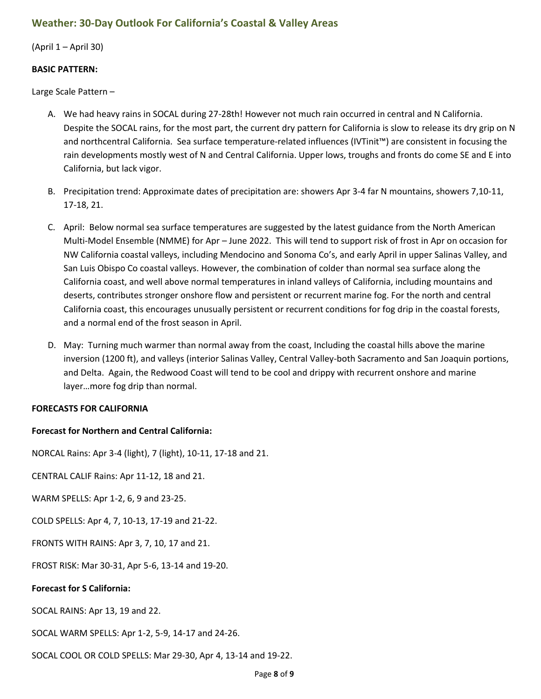## <span id="page-7-0"></span>**Weather: 30-Day Outlook For California's Coastal & Valley Areas**

(April 1 – April 30)

#### **BASIC PATTERN:**

Large Scale Pattern –

- A. We had heavy rains in SOCAL during 27-28th! However not much rain occurred in central and N California. Despite the SOCAL rains, for the most part, the current dry pattern for California is slow to release its dry grip on N and northcentral California. Sea surface temperature-related influences (IVTinit™) are consistent in focusing the rain developments mostly west of N and Central California. Upper lows, troughs and fronts do come SE and E into California, but lack vigor.
- B. Precipitation trend: Approximate dates of precipitation are: showers Apr 3-4 far N mountains, showers 7,10-11, 17-18, 21.
- C. April: Below normal sea surface temperatures are suggested by the latest guidance from the North American Multi-Model Ensemble (NMME) for Apr – June 2022. This will tend to support risk of frost in Apr on occasion for NW California coastal valleys, including Mendocino and Sonoma Co's, and early April in upper Salinas Valley, and San Luis Obispo Co coastal valleys. However, the combination of colder than normal sea surface along the California coast, and well above normal temperatures in inland valleys of California, including mountains and deserts, contributes stronger onshore flow and persistent or recurrent marine fog. For the north and central California coast, this encourages unusually persistent or recurrent conditions for fog drip in the coastal forests, and a normal end of the frost season in April.
- D. May: Turning much warmer than normal away from the coast, Including the coastal hills above the marine inversion (1200 ft), and valleys (interior Salinas Valley, Central Valley-both Sacramento and San Joaquin portions, and Delta. Again, the Redwood Coast will tend to be cool and drippy with recurrent onshore and marine layer…more fog drip than normal.

#### **FORECASTS FOR CALIFORNIA**

#### **Forecast for Northern and Central California:**

NORCAL Rains: Apr 3-4 (light), 7 (light), 10-11, 17-18 and 21.

CENTRAL CALIF Rains: Apr 11-12, 18 and 21.

WARM SPELLS: Apr 1-2, 6, 9 and 23-25.

COLD SPELLS: Apr 4, 7, 10-13, 17-19 and 21-22.

FRONTS WITH RAINS: Apr 3, 7, 10, 17 and 21.

FROST RISK: Mar 30-31, Apr 5-6, 13-14 and 19-20.

#### **Forecast for S California:**

SOCAL RAINS: Apr 13, 19 and 22.

SOCAL WARM SPELLS: Apr 1-2, 5-9, 14-17 and 24-26.

SOCAL COOL OR COLD SPELLS: Mar 29-30, Apr 4, 13-14 and 19-22.